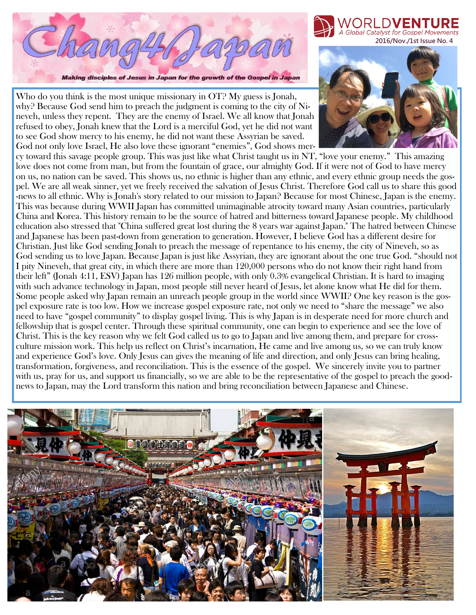

Making disciples of Jesus in Japan for the growth of the Gospel in Japan

Who do you think is the most unique missionary in  $\overline{OT}$ ? My guess is Jonah, why? Because God send him to preach the judgment is coming to the city of Nineveh, unless they repent. They are the enemy of Israel. We all know that Jonah refused to obey, Jonah knew that the Lord is a merciful God, yet he did not want to see God show mercy to his enemy, he did not want these Assyrian be saved. God not only love Israel, He also love these ignorant "enemies", God shows mer-

cy toward this savage people group. This was just like what Christ taught us in NT, "love your enemy." This amazing love does not come from man, but from the fountain of grace, our almighty God. If it were not of God to have mercy on us, no nation can be saved. This shows us, no ethnic is higher than any ethnic, and every ethnic group needs the gospel. We are all weak sinner, yet we freely received the salvation of Jesus Christ. Therefore God call us to share this good -news to all ethnic. Why is Jonah's story related to our mission to Japan? Because for most Chinese, Japan is the enemy. This was because during WWII Japan has committed unimaginable atrocity toward many Asian countries, particularly China and Korea. This history remain to be the source of hatred and bitterness toward Japanese people. My childhood education also stressed that "China suffered great lost during the 8 years war against Japan." The hatred between Chinese and Japanese has been past-down from generation to generation. However, I believe God has a different desire for Christian. Just like God sending Jonah to preach the message of repentance to his enemy, the city of Nineveh, so as God sending us to love Japan. Because Japan is just like Assyrian, they are ignorant about the one true God. "should not I pity Nineveh, that great city, in which there are more than 120,000 persons who do not know their right hand from their left" (Jonah 4:11, ESV) Japan has 126 million people, with only 0.3% evangelical Christian. It is hard to imaging with such advance technology in Japan, most people still never heard of Jesus, let alone know what He did for them. Some people asked why Japan remain an unreach people group in the world since WWII? One key reason is the gospel exposure rate is too low. How we increase gospel exposure rate, not only we need to "share the message" we also need to have "gospel community" to display gospel living. This is why Japan is in desperate need for more church and fellowship that is gospel center. Through these spiritual community, one can begin to experience and see the love of Christ. This is the key reason why we felt God called us to go to Japan and live among them, and prepare for crossculture mission work. This help us reflect on Christ's incarnation, He came and live among us, so we can truly know and experience God's love. Only Jesus can gives the meaning of life and direction, and only Jesus can bring healing, transformation, forgiveness, and reconciliation. This is the essence of the gospel. We sincerely invite you to partner with us, pray for us, and support us financially, so we are able to be the representative of the gospel to preach the goodnews to Japan, may the Lord transform this nation and bring reconciliation between Japanese and Chinese.





Global Catalyst for Gospel Movement